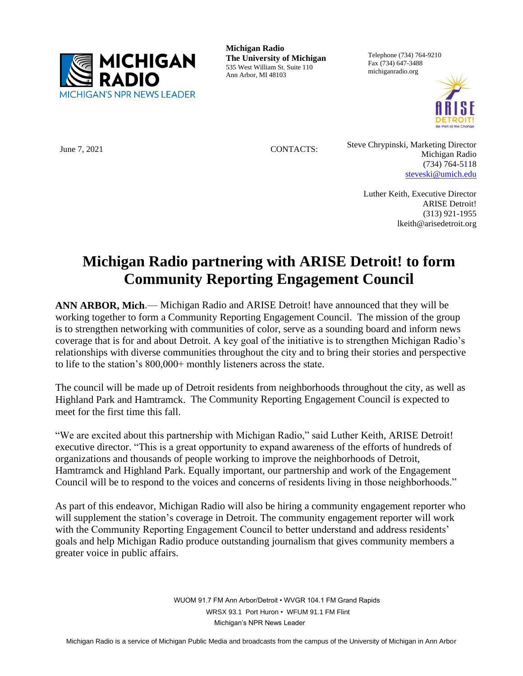

**Michigan Radio The University of Michigan** 535 West William St. Suite 110 Ann Arbor, MI 48103

Telephone (734) 764-9210 Fax (734) 647-3488 michiganradio.org



June 7, 2021 CONTACTS: Steve Chrypinski, Marketing Director Michigan Radio (734) 764-5118 [steveski@umich.edu](mailto:steveski@umich.edu)

> Luther Keith, Executive Director ARISE Detroit! (313) 921-1955 lkeith@arisedetroit.org

## **Michigan Radio partnering with ARISE Detroit! to form Community Reporting Engagement Council**

**ANN ARBOR, Mich**.— Michigan Radio and ARISE Detroit! have announced that they will be working together to form a Community Reporting Engagement Council. The mission of the group is to strengthen networking with communities of color, serve as a sounding board and inform news coverage that is for and about Detroit. A key goal of the initiative is to strengthen Michigan Radio's relationships with diverse communities throughout the city and to bring their stories and perspective to life to the station's 800,000+ monthly listeners across the state.

The council will be made up of Detroit residents from neighborhoods throughout the city, as well as Highland Park and Hamtramck. The Community Reporting Engagement Council is expected to meet for the first time this fall.

"We are excited about this partnership with Michigan Radio," said Luther Keith, ARISE Detroit! executive director. "This is a great opportunity to expand awareness of the efforts of hundreds of organizations and thousands of people working to improve the neighborhoods of Detroit, Hamtramck and Highland Park. Equally important, our partnership and work of the Engagement Council will be to respond to the voices and concerns of residents living in those neighborhoods."

As part of this endeavor, Michigan Radio will also be hiring a community engagement reporter who will supplement the station's coverage in Detroit. The community engagement reporter will work with the Community Reporting Engagement Council to better understand and address residents' goals and help Michigan Radio produce outstanding journalism that gives community members a greater voice in public affairs.

> WUOM 91.7 FM Ann Arbor/Detroit • WVGR 104.1 FM Grand Rapids WRSX 93.1 Port Huron • WFUM 91.1 FM Flint Michigan's NPR News Leader